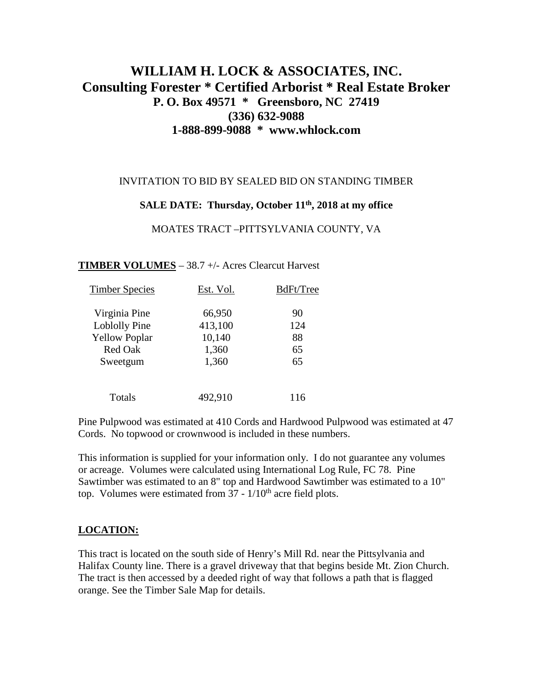# **WILLIAM H. LOCK & ASSOCIATES, INC. Consulting Forester \* Certified Arborist \* Real Estate Broker P. O. Box 49571 \* Greensboro, NC 27419 (336) 632-9088 1-888-899-9088 \* www.whlock.com**

### INVITATION TO BID BY SEALED BID ON STANDING TIMBER

#### SALE DATE: Thursday, October 11<sup>th</sup>, 2018 at my office

#### MOATES TRACT –PITTSYLVANIA COUNTY, VA

#### **TIMBER VOLUMES** – 38.7 +/- Acres Clearcut Harvest

| <b>Timber Species</b> | Est. Vol. | BdFt/Tree |
|-----------------------|-----------|-----------|
| Virginia Pine         | 66,950    | 90        |
| Loblolly Pine         | 413,100   | 124       |
| <b>Yellow Poplar</b>  | 10,140    | 88        |
| Red Oak               | 1,360     | 65        |
| Sweetgum              | 1,360     | 65        |
| Totals                | 492,910   | 116       |

Pine Pulpwood was estimated at 410 Cords and Hardwood Pulpwood was estimated at 47 Cords. No topwood or crownwood is included in these numbers.

This information is supplied for your information only. I do not guarantee any volumes or acreage. Volumes were calculated using International Log Rule, FC 78. Pine Sawtimber was estimated to an 8" top and Hardwood Sawtimber was estimated to a 10" top. Volumes were estimated from  $37 - 1/10<sup>th</sup>$  acre field plots.

### **LOCATION:**

This tract is located on the south side of Henry's Mill Rd. near the Pittsylvania and Halifax County line. There is a gravel driveway that that begins beside Mt. Zion Church. The tract is then accessed by a deeded right of way that follows a path that is flagged orange. See the Timber Sale Map for details.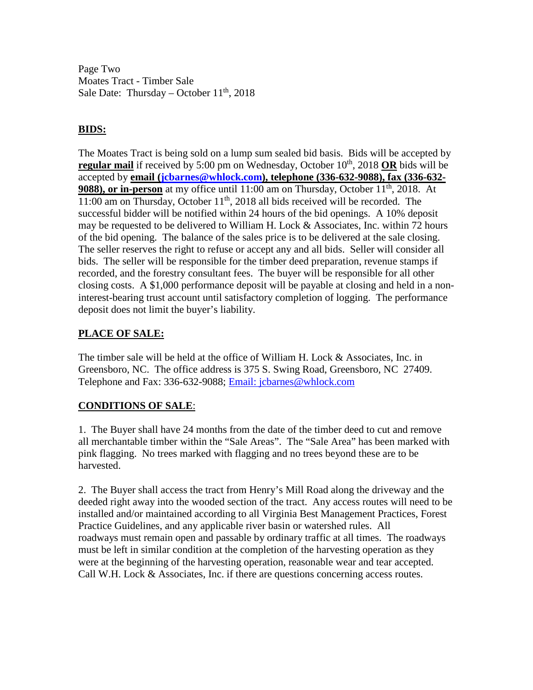Page Two Moates Tract - Timber Sale Sale Date: Thursday – October  $11<sup>th</sup>$ , 2018

## **BIDS:**

The Moates Tract is being sold on a lump sum sealed bid basis. Bids will be accepted by **regular mail** if received by 5:00 pm on Wednesday, October 10th , 2018 **OR** bids will be accepted by **email [\(jcbarnes@whlock.com\)](mailto:jcbarnes@whlock.com), telephone (336-632-9088), fax (336-632- 9088), or in-person** at my office until 11:00 am on Thursday, October 11<sup>th</sup>, 2018. At 11:00 am on Thursday, October  $11<sup>th</sup>$ , 2018 all bids received will be recorded. The successful bidder will be notified within 24 hours of the bid openings. A 10% deposit may be requested to be delivered to William H. Lock & Associates, Inc. within 72 hours of the bid opening. The balance of the sales price is to be delivered at the sale closing. The seller reserves the right to refuse or accept any and all bids. Seller will consider all bids. The seller will be responsible for the timber deed preparation, revenue stamps if recorded, and the forestry consultant fees. The buyer will be responsible for all other closing costs. A \$1,000 performance deposit will be payable at closing and held in a noninterest-bearing trust account until satisfactory completion of logging. The performance deposit does not limit the buyer's liability.

# **PLACE OF SALE:**

The timber sale will be held at the office of William H. Lock & Associates, Inc. in Greensboro, NC. The office address is 375 S. Swing Road, Greensboro, NC 27409. Telephone and Fax: 336-632-9088; [Email: jcbarnes@whlock.com](mailto:Email:%20jcbarnes@whlock.com) 

### **CONDITIONS OF SALE**:

1. The Buyer shall have 24 months from the date of the timber deed to cut and remove all merchantable timber within the "Sale Areas". The "Sale Area" has been marked with pink flagging. No trees marked with flagging and no trees beyond these are to be harvested.

2. The Buyer shall access the tract from Henry's Mill Road along the driveway and the deeded right away into the wooded section of the tract. Any access routes will need to be installed and/or maintained according to all Virginia Best Management Practices, Forest Practice Guidelines, and any applicable river basin or watershed rules. All roadways must remain open and passable by ordinary traffic at all times. The roadways must be left in similar condition at the completion of the harvesting operation as they were at the beginning of the harvesting operation, reasonable wear and tear accepted. Call W.H. Lock & Associates, Inc. if there are questions concerning access routes.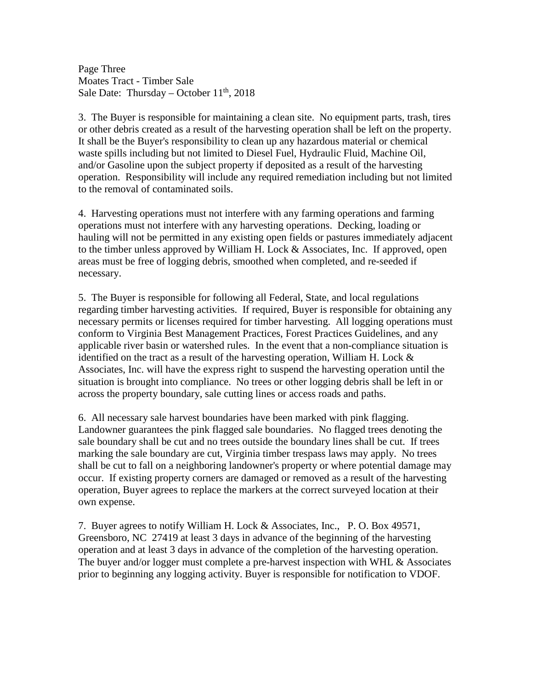Page Three Moates Tract - Timber Sale Sale Date: Thursday – October  $11<sup>th</sup>$ , 2018

3. The Buyer is responsible for maintaining a clean site. No equipment parts, trash, tires or other debris created as a result of the harvesting operation shall be left on the property. It shall be the Buyer's responsibility to clean up any hazardous material or chemical waste spills including but not limited to Diesel Fuel, Hydraulic Fluid, Machine Oil, and/or Gasoline upon the subject property if deposited as a result of the harvesting operation. Responsibility will include any required remediation including but not limited to the removal of contaminated soils.

4. Harvesting operations must not interfere with any farming operations and farming operations must not interfere with any harvesting operations. Decking, loading or hauling will not be permitted in any existing open fields or pastures immediately adjacent to the timber unless approved by William H. Lock & Associates, Inc. If approved, open areas must be free of logging debris, smoothed when completed, and re-seeded if necessary.

5. The Buyer is responsible for following all Federal, State, and local regulations regarding timber harvesting activities. If required, Buyer is responsible for obtaining any necessary permits or licenses required for timber harvesting. All logging operations must conform to Virginia Best Management Practices, Forest Practices Guidelines, and any applicable river basin or watershed rules. In the event that a non-compliance situation is identified on the tract as a result of the harvesting operation, William H. Lock  $\&$ Associates, Inc. will have the express right to suspend the harvesting operation until the situation is brought into compliance. No trees or other logging debris shall be left in or across the property boundary, sale cutting lines or access roads and paths.

6. All necessary sale harvest boundaries have been marked with pink flagging. Landowner guarantees the pink flagged sale boundaries. No flagged trees denoting the sale boundary shall be cut and no trees outside the boundary lines shall be cut. If trees marking the sale boundary are cut, Virginia timber trespass laws may apply. No trees shall be cut to fall on a neighboring landowner's property or where potential damage may occur. If existing property corners are damaged or removed as a result of the harvesting operation, Buyer agrees to replace the markers at the correct surveyed location at their own expense.

7. Buyer agrees to notify William H. Lock & Associates, Inc., P. O. Box 49571, Greensboro, NC 27419 at least 3 days in advance of the beginning of the harvesting operation and at least 3 days in advance of the completion of the harvesting operation. The buyer and/or logger must complete a pre-harvest inspection with WHL & Associates prior to beginning any logging activity. Buyer is responsible for notification to VDOF.